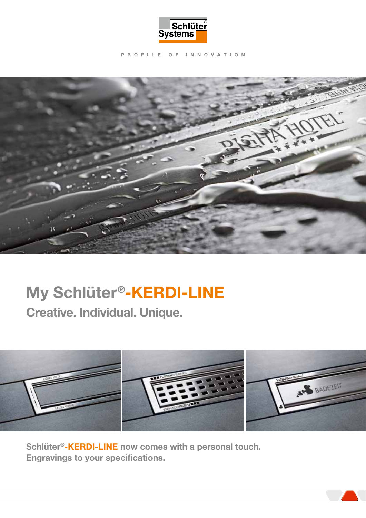

PROFILE OF INNOVATION



# My Schlüter®-KERDI-LINE

Creative. Individual. Unique.



Schlüter®-KERDI-LINE now comes with a personal touch. Engravings to your specifications.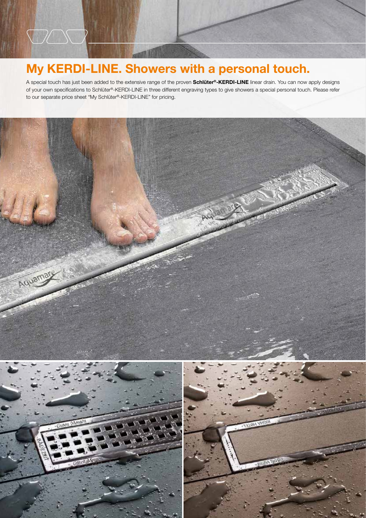## My KERDI-LINE. Showers with a personal touch.

**DASC** 

A special touch has just been added to the extensive range of the proven Schlüter®-KERDI-LINE linear drain. You can now apply designs of your own specifications to Schlüter®-KERDI-LINE in three different engraving types to give showers a special personal touch. Please refer to our separate price sheet "My Schlüter®-KERDI-LINE" for pricing.

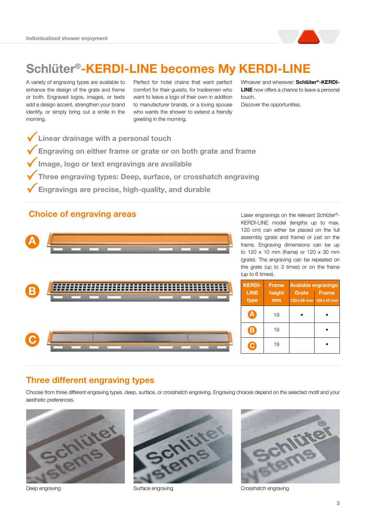

# Schlüter®-KERDI-LINE becomes My KERDI-LINE

A variety of engraving types are available to enhance the design of the grate and frame or both. Engraved logos, images, or texts add a design accent, strengthen your brand identity, or simply bring out a smile in the morning.

Perfect for hotel chains that want perfect comfort for their guests, for tradesmen who want to leave a logo of their own in addition to manufacturer brands, or a loving spouse who wants the shower to extend a friendly greeting in the morning.

Whoever and wherever: Schlüter®-KERDI-**LINE** now offers a chance to leave a personal touch. Discover the opportunities.

- $\checkmark$  Linear drainage with a personal touch
- $\checkmark$  Engraving on either frame or grate or on both grate and frame
- Image, logo or text engravings are available
- Three engraving types: Deep, surface, or crosshatch engraving
- 3Engravings are precise, high-quality, and durable

#### Choice of engraving areas



Laser engravings on the relevant Schlüter®- KERDI-LINE model (lengths up to max. 120 cm) can either be placed on the full assembly (grate and frame) or just on the frame. Engraving dimensions can be up to 120 x 10 mm (frame) or 120 x 30 mm (grate). The engraving can be repeated on the grate (up to 3 times) or on the frame (up to 6 times).

| <b>KERDI-</b><br><b>LINE</b><br>type | <b>Frame</b><br>height<br>mm | Grate<br>120 x 30 mm 120 x 10 mm | <b>Available engravings:</b><br><b>Frame</b> |
|--------------------------------------|------------------------------|----------------------------------|----------------------------------------------|
|                                      | 19                           |                                  |                                              |
| Β                                    | 19                           |                                  |                                              |
|                                      | 19                           |                                  |                                              |

#### Three different engraving types

Choose from three different engraving types, deep, surface, or crosshatch engraving. Engraving choices depend on the selected motif and your aesthetic preferences.







Deep engraving The Crosshatch engraving Surface engraving The Crosshatch engraving